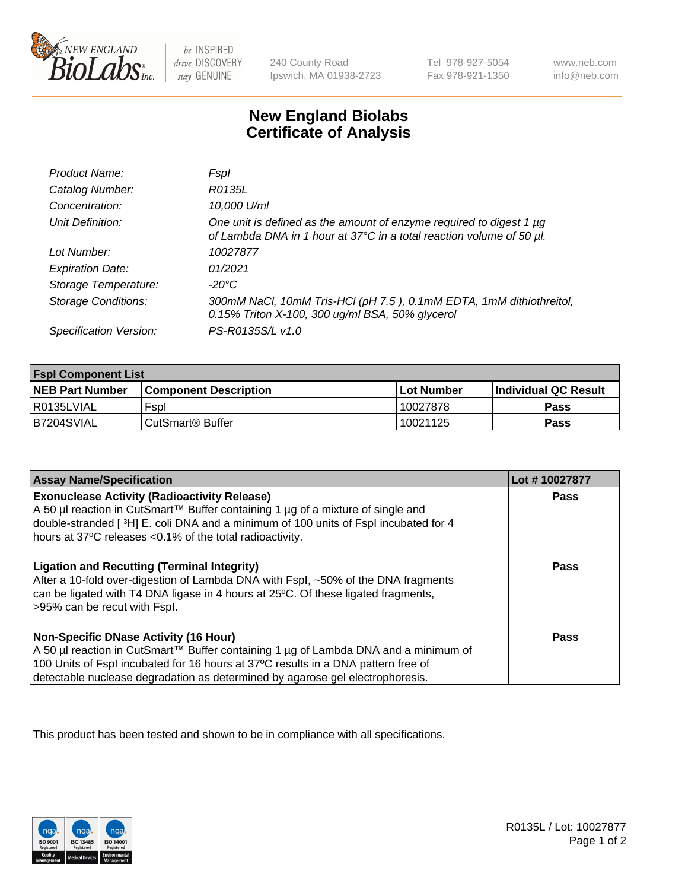

 $be$  INSPIRED drive DISCOVERY stay GENUINE

240 County Road Ipswich, MA 01938-2723 Tel 978-927-5054 Fax 978-921-1350 www.neb.com info@neb.com

## **New England Biolabs Certificate of Analysis**

| Product Name:              | Fspl                                                                                                                                        |
|----------------------------|---------------------------------------------------------------------------------------------------------------------------------------------|
| Catalog Number:            | R0135L                                                                                                                                      |
| Concentration:             | 10,000 U/ml                                                                                                                                 |
| Unit Definition:           | One unit is defined as the amount of enzyme required to digest 1 µg<br>of Lambda DNA in 1 hour at 37°C in a total reaction volume of 50 µl. |
| Lot Number:                | 10027877                                                                                                                                    |
| <b>Expiration Date:</b>    | 01/2021                                                                                                                                     |
| Storage Temperature:       | -20°C                                                                                                                                       |
| <b>Storage Conditions:</b> | 300mM NaCl, 10mM Tris-HCl (pH 7.5), 0.1mM EDTA, 1mM dithiothreitol,<br>0.15% Triton X-100, 300 ug/ml BSA, 50% glycerol                      |
| Specification Version:     | PS-R0135S/L v1.0                                                                                                                            |

| <b>Fspl Component List</b> |                              |              |                             |  |
|----------------------------|------------------------------|--------------|-----------------------------|--|
| <b>NEB Part Number</b>     | <b>Component Description</b> | l Lot Number | <b>Individual QC Result</b> |  |
| I R0135LVIAL               | Fspl                         | 10027878     | <b>Pass</b>                 |  |
| B7204SVIAL                 | l CutSmart® Buffer           | 10021125     | Pass                        |  |

| <b>Assay Name/Specification</b>                                                                                                                                                                                                                                                                           | Lot #10027877 |
|-----------------------------------------------------------------------------------------------------------------------------------------------------------------------------------------------------------------------------------------------------------------------------------------------------------|---------------|
| <b>Exonuclease Activity (Radioactivity Release)</b><br>A 50 µl reaction in CutSmart™ Buffer containing 1 µg of a mixture of single and<br>double-stranded [3H] E. coli DNA and a minimum of 100 units of Fspl incubated for 4<br>hours at 37°C releases <0.1% of the total radioactivity.                 | Pass          |
| <b>Ligation and Recutting (Terminal Integrity)</b><br>After a 10-fold over-digestion of Lambda DNA with Fspl, ~50% of the DNA fragments<br>can be ligated with T4 DNA ligase in 4 hours at 25°C. Of these ligated fragments,<br>>95% can be recut with Fspl.                                              | <b>Pass</b>   |
| <b>Non-Specific DNase Activity (16 Hour)</b><br>A 50 µl reaction in CutSmart™ Buffer containing 1 µg of Lambda DNA and a minimum of<br>100 Units of Fspl incubated for 16 hours at 37°C results in a DNA pattern free of<br>detectable nuclease degradation as determined by agarose gel electrophoresis. | Pass          |

This product has been tested and shown to be in compliance with all specifications.